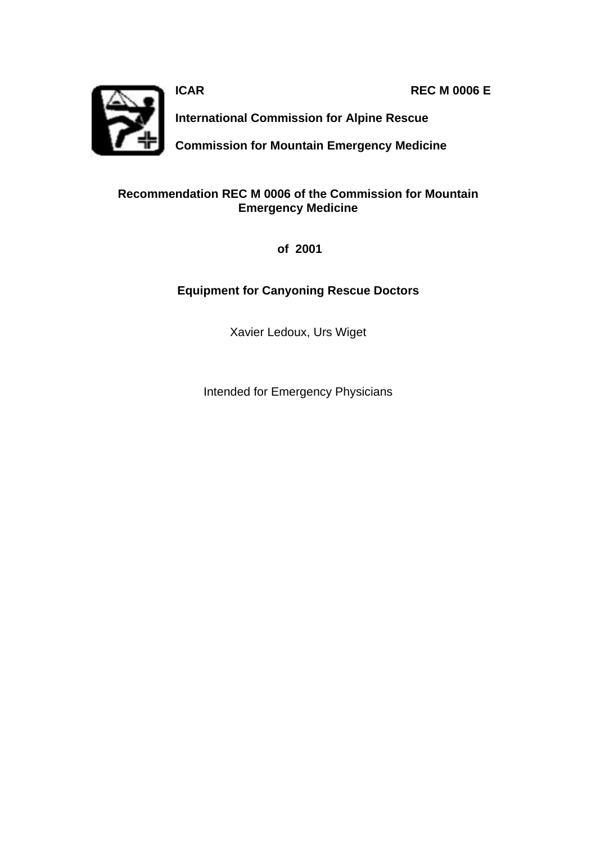**ICAR REC M 0006 E**



**International Commission for Alpine Rescue**

**Commission for Mountain Emergency Medicine**

#### **Recommendation REC M 0006 of the Commission for Mountain Emergency Medicine**

 **of 2001**

### **Equipment for Canyoning Rescue Doctors**

Xavier Ledoux, Urs Wiget

Intended for Emergency Physicians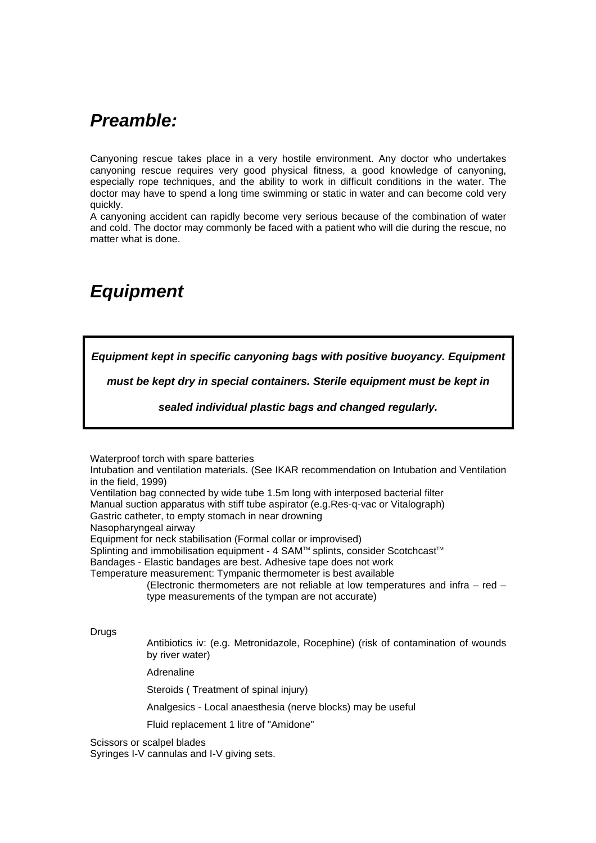## *Preamble:*

Canyoning rescue takes place in a very hostile environment. Any doctor who undertakes canyoning rescue requires very good physical fitness, a good knowledge of canyoning, especially rope techniques, and the ability to work in difficult conditions in the water. The doctor may have to spend a long time swimming or static in water and can become cold very quickly.

A canyoning accident can rapidly become very serious because of the combination of water and cold. The doctor may commonly be faced with a patient who will die during the rescue, no matter what is done.

# *Equipment*

*Equipment kept in specific canyoning bags with positive buoyancy. Equipment* 

*must be kept dry in special containers. Sterile equipment must be kept in* 

*sealed individual plastic bags and changed regularly.*

Waterproof torch with spare batteries

Intubation and ventilation materials. (See IKAR recommendation on Intubation and Ventilation in the field, 1999)

Ventilation bag connected by wide tube 1.5m long with interposed bacterial filter

Manual suction apparatus with stiff tube aspirator (e.g.Res-q-vac or Vitalograph)

Gastric catheter, to empty stomach in near drowning

Nasopharyngeal airway

Equipment for neck stabilisation (Formal collar or improvised)

Splinting and immobilisation equipment - 4 SAM™ splints, consider Scotchcast™

Bandages - Elastic bandages are best. Adhesive tape does not work

Temperature measurement: Tympanic thermometer is best available

(Electronic thermometers are not reliable at low temperatures and infra – red – type measurements of the tympan are not accurate)

Drugs

Antibiotics iv: (e.g. Metronidazole, Rocephine) (risk of contamination of wounds by river water)

Adrenaline

Steroids ( Treatment of spinal injury)

Analgesics - Local anaesthesia (nerve blocks) may be useful

Fluid replacement 1 litre of "Amidone"

Scissors or scalpel blades

Syringes I-V cannulas and I-V giving sets.